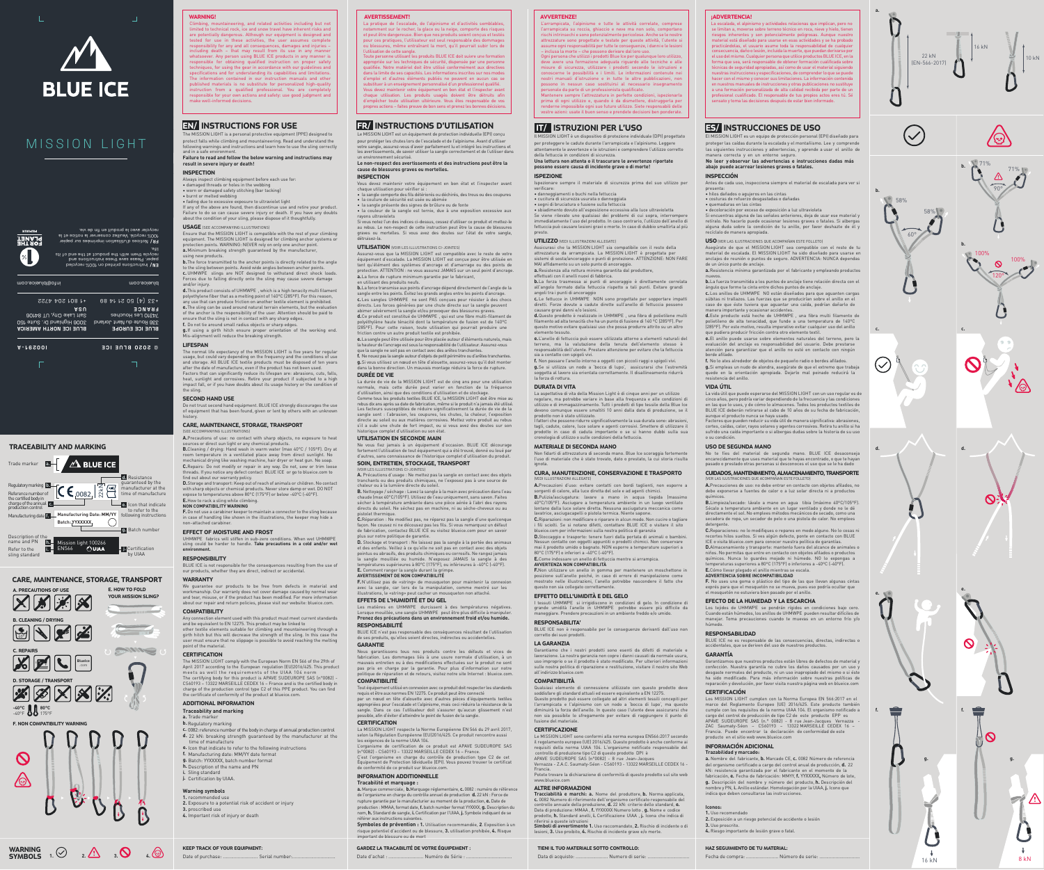



# MISSION LIGHT

+33 (4) 50 21 14 89

**BLUE ICE EUROPE** 336 Route du Nant Jorland *Ad300* Les Houches **FRANCE BLUE ICE NORTH AMERICA** 3006 Highland Dr. Suite 150 Salt Lake City, UT 84106 **USA**



life.

**I00291-A BLUE ICE 2020** © IT/ ISTRUZIONI PER L'USO

Il MISSION LIGHT è un dispositivo di protezione individuale (DPI) progettato per proteggere le cadute durante l'arrampicata e l'alpinismo. Leggere attentamente le avvertenze e le istruzioni e comprendere l'utilizzo corretto

Assicurasi che la MISSION LIGHT sia compatibile con il resto della attrezzatura da arrampicata. La MISSION LIGHT è progettata per<br>sistemi di sosta/ancoraggio o punti di protezione. ATTENZIONE: NON FARE<br>MAI affidamento su un solo punto di ancoraggio.

della fettuccia in condizioni di sicurezza.

**Una lettura non attenta o il trascurare le avvertenze riportate possono essere causa di incidente grave o di morte!**

ISPEZIONE

Ispezionare sempre il materiale di sicurezza prima del suo utilizzo per

verificare: • danneggiamenti o buchi nella fettuccia • cucitura di sicurezza usurata o danneggiata • segni di bruciatura o fusione sulla fettuccia

• sbiadimento dovuto all'esposizione eccessiva alla luce ultravioletta Se viene rilevato uno qualsiasi dei problemi di cui sopra, interrompere immediatamente l'uso del prodotto. In caso contrario, l'utilizzo dell'anello di fettuccia può causare lesioni gravi o morte. In caso di dubbio smaltirla al più

presto.

UTILIZZO (VEDI ILLUSTRAZIONI ALLEGATE)

**a.**Resistenza alla rottura minima garantita dal produttore, effettuati con il anelli nuovi di fabbrica.

**b.**La forza trasmessa ai punti di ancoraggio è direttamente correlata all'angolo formato dalla fettuccia rispetto a tali punti. Evitare grandi

angoli tra i punti di ancoraggio

**c.** Le fettucce in UHMWPE NON sono progettate per sopportare impatti diretti. Forze dovute a cadute dirette sull'anello di fettuccia possono

causare gravi danni e/o lesioni.

**d.**Questo prodotto è realizzato in UHMWPE , una fibra di polietilene multi filamento ad alta tenacità che ha un punto di fusione di 140 ºC (285ºF). Per questo motivo evitare qualsiasi uso che possa produrre attrito su un altro

elemento tessuto.

**e.**L'anello di fettuccia può essere utilizzata attorno a elementi naturali del terreno, ma la valutazione della tenuta dell'elemento stesso è responsabilità dell'utente. Prestare attenzione per evitare che la fettuccia

sia a contatto con spigoli vivi.

Garantiamo che i nostri prodotti sono esenti da difetti di materiale e lavorazione. La nostra garanzia non copre i danni causati da normale usura, uso improprio o se il prodotto è stato modificato. Per ulteriori informazioni ulle nostra politica di riparazione e restituzione, visitare il nostro sito Web

**f.** Non passare l'anello intorno a oggetti con piccoli raggi o spigoli vivi. **g.**Se si utilizza un nodo a 'bocca di lupo', assicurarsi che l'estremità soggetta al lavoro sia orientata correttamente. Il disallineamento ridurrà la forza di rottura.

DURATA DI VITA

fusione del materiale. **CERTIFICAZIONE** 

controllo di produzione tipo C2 di questo prodotto DPI è APAVE SUDEUROPE SAS (n°0082) - 8 rue Jean-Ja

La aspettativa di vita della Mission Light è di cinque anni per un utilizzo regolare, ma potrebbe variare in base alla frequenza e alle condizioni di utilizzo e di immagazzinamento. Tutti i prodotti di tipo tessile della Blue Ice devono comunque essere smaltiti 10 anni dalla data di produzione, se il prodotto non è stato utilizzato. I fattori che possono ridurre significativamente la sua durata sono: abrasioni, tagli, cadute, calore, luce solare e agenti corrosivi. Smettere di utilizzare il prodotto in caso di caduta importante o se si hanno dubbi sulla sua

cronologia di utilizzo o sulle condizioni della fettuccia. MATERIALE DI SECONDA MANO

Non fidarti di attrezzatura di seconda mano. Blue Ice scoraggia fortemente l'uso di materiale che è stato trovato, dato o prestato, la cui storia risulta

ignota.

CURA, MANUTENZIONE, CONSERVAZIONE E TRASPORTO

arrampicata, l'alpinismo e tutte le attività correlate, comprese l'arrampicata su roccia, ghiaccio e neve ma non solo, comportano rischi intrinsechi e sono potenzialmente pericolose. Anche se le nostre attrezzature sono progettate e testate per queste attività, l'utente si assume ogni responsabilità per tutte le conseguenze, i danni e le lesioni

(VEDI ILLUSTRAZIONI ALLEGATE)

**A.**Precauzioni d'uso: evitare contatti con bordi taglienti, non esporre a sorgenti di calore, alla luce diretta del sole e ad agenti chimici. **B.**Pulizia/asciugatura: lavare a mano in acqua tiepida (massimo 40°C/105°F). Asciugare a temperatura ambiente in un luogo ventilato lontano dalla luce solare diretta. Nessuna asciugatura meccanica come

TIENI IL TUO MATERIALE SOTTO CONTROLLO: Data di acquisto: ......................... Numero di serie:

nento di connessione utilizzato con questo prodotto deve

lavatrice, asciugacapelli o pistola termica. Niente sapone.

**C.**Riparazioni: non modificare o riparare in alcun modo. Non cucire o tagliare i fili sciolti. Se si notano difetti, contattare BLUE ICE o visitare il sito blueice.com per informazioni sulla nostra politica di garanzia **D.**Stoccaggio e trasporto: tenere fuori dalla portata di animali o bambini. Nessun contatto con oggetti appuntiti o prodotti chimici. Non conservare mai il prodotto umido o bagnato. NON esporre a temperature superiori a

80°C (175°F) o inferiori a -40°C (-40°F).

**E.**Come indossare un anello di fettuccia mentre si arrampica.

**AVVERTENZA NON COMPATIBILITÀ**

**F.**Non utilizzare un anello in gomma per mantenere un moschettone in posizione sull'anello poiché, in caso di errore di manipolazione come mostrato nelle illustrazioni, l'anello potrebbe nascondere il fatto che

questo non sia collegato correttamente. EFFETTO DELL'UMIDITÀ E DEL GELO

I tessuti UHMWPE si irrigidiscono in condizioni di gelo. In condizione di grande umidità l'anello in UHMWPE potrebbe essere più difficile da maneggiare. Prendere precauzioni in un ambiente freddo e/o umido.

a importante y ocasionar accidentes **d.**Este producto está hecho de UHMWPE , una fibra multi filamento de polietileno de alta tenacidad, que funde a una temperatura de 140ºC (285ºF). Por este motivo, resulta imperativo evitar cualquier uso del anillo

RESPONSABILITA'

BLUE ICE non è responsabile per le conseguenze derivanti dall'uso non

corretto dei suoi prodotti. LA GARANZIA

all'indirizzo blueice.com COMPATIBILITÀ

soddisfare gli standard attuali ed essere equivalente a EN 12275. Questo prodotto può essere collegato ad altri elementi tessili concepiti per l'arrampicata e l'alpinismo con un nodo a 'bocca di lupo', ma questo diminuirà la forza dell'anello. In questo caso l'utente deve assicurarsi che non sia possibile lo sfregamento per evitare di raggiungere il punto di **B.**Limpieza/secado: lávalo a mano en agua tibia (máximo 40ºC/105°F). Sécalo a temperatura ambiente en un lugar ventilado y donde no le dé directamente el sol. No emplees métodos mecánicos de secado, como una secadora de ropa, un secador de pelo o una pistola de calor. No emp etergente.

Le MISSION LIGHT sono conformi alla norma europea EN566:2017 secondo il regolamento europeo (UE) 2016/425. Questo prodotto è anche conforme ai requisiti della norma UIAA 104. L'organismo notificato responsabile del

Vernazza - Z.A.C. Saumaty-Séon - CS60193 - 13322 MARSEILLE CEDEX 16 -

Francia.

Potete trovare la dichiarazione di conformità di questo prodotto sul sito web

www.blueice.com ALTRE INFORMAZIONI

**Tracciabilità e marchi: a.** Nome del produttore, **b.** Norma applicata, **c.** 0082 Numero di riferimento dell'organismo certificato responsabile del<br>controllo annuale della produzione**, d.** 22 kN: criterio dello standard, **e.**<br>Data di produzione: MMAA , f. YYXXXX Numero lotto , **g.** Nome e codi prodotto, **h.** Standard anelli, **i.** Certificazione UIAA , **j.** Icona che indica di riferirsi a queste istruzioni **Simboli di avvertimento 1.** Uso raccomandato, **2.** Rischio di incidente o di lesioni, **3.** Uso proibito, **4.** Rischio di incidente grave e/o morte.

AVVERTENZE!

– inclusa la morte – che possono derivare dal loro uso.

Ogni persona che utilizzi i prodotti Blue Ice per qualunque loro utilizzo, deve avere una formazione adeguata riguardo alle tecniche e alle misure di sicurezza, utilizzare i prodotti secondo le istruzioni e conoscerne le possibilità e i limiti. Le informazioni contenute nei nostri manuali d'istruzione e in tutte le altre pubblicazioni, non possono in nessun caso sostituirsi al necessario insegnamento personale da parte di un professionista qualificato. Mantenere sempre l'attrezzatura in perfette condizioni, ispezionarla prima di ogni utilizzo e, quando è da dismettere, distruggerla per renderne impossibile ogni suo futuro utilizzo. Siete responsabili delle vostre azioni: usate il buon senso e prendete decisioni ben ponderate.

 $\mathop{\mathsf{or}}$  or damaged safety stitching (bar tacking) • burnt or melted webbing

# ES/ INSTRUCCIONES DE USO

El MISSION LIGHT es un equipo de protección personal (EPI) diseñado para proteger las caídas durante la escalada y el montañismo. Lee y comprende las siguientes instrucciones y advertencias, y aprende a usar el anillo de

Ensure that the MISSION LIGHT is compatible with the rest of your climbing<br>equipment. The MISSION LIGHT is designed for climbing anchor systems or<br>protection points. WARNING: NEVER rely on only one anchor point. **a.**Minimum breaking strength guaranteed by the manufacturer,

manera correcta y en un entorno seguro. **No leer y observar las advertencias e instrucciones dadas más abajo puede acarrear lesiones graves o fatales.**

#### INSPECCIÓN

Antes de cada uso, inspecciona siempre el material de escalada para ver si

presenta: • hilos dañados o agujeros en las cintas

• costuras de refuerzo desgastadas o dañadas • quemaduras en las cintas

• decoloración por exceso de exposición a luz ultravioleta

Si encuentras alguna de las señales anteriores, deja de usar ese material y retíralo. No hacerlo puede ocasionar lesiones graves o fatales. Si albergas alguna duda sobre la condición de tu anillo, por favor deshazte de él y recíclalo de manera apropiada.

USO (VER LAS ILUSTRACIONES QUE ACOMPAÑAN ESTE FOLLETO)

Asegúrate de que el MISSION LIGHT sea compatible con el resto de tu material de escalada. El MISSION LIGHT ha sido diseñado para usarse en anclajes de reunión o puntos de seguro. ADVERTENCIA: NUNCA dependas de un único punto de anclaje. **a.**Resistencia mínima garantizada por el fabricante y empleando productos

nuevos. **b.**La fuerza transmitida a los puntos de anclaje tiene relación directa con el ángulo que forme la cinta entre dichos puntos de anclaje.

**c.** Los anillos de UHMWPE NO están diseñados para que aguanten cargas súbitas ni trallazos. Las fuerzas que se producirían sobre el anillo en el caso de que éste tuviera que aguantar una caída, podrían dañarlo de

UHMWPE fabrics will stiffen in sub-zero conditions. When wet UHMWPE sling could be harder to handle. **Take precautions in a cold and/or wet environment. RESPONSIBILITY** 

#### **COMPATIBILITY** Any connection element used with this product must meet current standards and be equivalent to EN 12275. This product may be linked to

other textile elements suitable for climbing and mountaineering through a<br>girth hitch but this will decrease the strength of the sling. In this case the<br>user must ensure that no slippage is possible to avoid reaching the m point of the material

# **CERTIFICATION**

que pudiera producir fricción contra otro elemento textil. **e.**El anillo puede usarse sobre elementos naturales del terreno, pero la evaluación del anclaje es responsabilidad del usuario. Debe prestarse atención para garantizar que el anillo no esté en contacto con ningún borde afilado.

**f.** No lo ates alrededor de objetos de pequeño radio o bordes afilados. **g.**Si empleas un nudo de alondra, asegúrate de que el extremo que trabaja quede en la orientación apropiada. Dejarlo mal peinado reducirá la resistencia del anillo.

# VIDA ÚTIL

La vida útil que puede esperarse del MISSION LIGHT con un uso regular es de cinco años, pero podría variar dependiendo de la frecuencia y las condiciones en las que lo uses, y de cómo lo almacenes. Todos los productos textiles de BLUE ICE deberán retirarse al cabo de 10 años de su fecha de fabricación,

aunque el producto nunca se haya usado. Factores que pueden reducir su vida útil de manera significativa: abrasiones, cortes, caídas, calor, rayos solares y agentes corrosivos. Retira tu anillo si ha sufrido una caída importante o si albergas dudas sobre la historia de su uso o su condición.

#### USO DE SEGUNDA MANO

No te fíes del material de segunda mano. BLUE ICE desaconseja encarecidamente que uses material que te hayas encontrado, o que te hayan pasado o prestado otras personas si desconoces el uso que se le ha dado

# CUIDADOS, MANTENIMIENTO, ALMACENAMIENTO, TRANSPORTE

(VER LAS ILUSTRACIONES QUE ACOMPAÑAN ESTE FOLLETO) **A.**Precauciones de uso: no debe entrar en contacto con objetos afilados, no debe exponerse a fuentes de calor o a luz solar directa ni a productos químicos.

#### • la sangle présente des signes de brûlure ou de fonte · la couleur de la sangle est ternie, due à une exposition excessive a

Assurez-vous que la MISSION LIGHT est compatible avec le reste de votre équipement d'escalade. La MISSION LIGHT est conçue pour être utilisée en tant qu'élément des systèmes d'ancrage et d'amarrage ou des points de  $\rho$ tion. ATTENTION : ne vous assurez JAMAIS sur un seul point d'ancrage. **a.**La force de rupture minimum garantie par le fabricant, utilisant des produits neufs.

> **C.**Reparaciones: no lo modifiques o repares en modo alguno. No lo cosas ni recortes hilos sueltos. Si ves algún defecto, ponte en contacto con BLUE ICE o visita blueice.com para conocer nuestra política de garantías.

**D.**Almacenamiento y transporte: mantenlo fuera del alcance de animales o niños. No permitas que entre en contacto con objetos afilados o productos químicos. Nunca lo guardes mojado ni húmedo. NO lo expongas a temperaturas superiores a 80ºC (175°F) o inferiores a -40ºC (-40°F).

**b.** La force transmise aux points d'ancrage dépend directement de l'angle de la sangle entre les points. Évitez les grands angles entre les points d'ancrage. **c.** Les sangles UHMWPE ne sont PAS conçues pour résister à des chocs directs. Les forces générées par une chute directe sur la sangle peuvent abimer sévèrement la sangle et/ou provoquer des blessures graves. **d.**Ce produit est constitué de UHMWPE , qui est une fibre multi-filament de polyéthylène haute ténacité dont la température de fusion est de 140ºC

# **E.**Cómo llevar plegado el anillo mientras se escala. **ADVERTENCIA SOBRE INCOMPATIBILIDAD**

que la sangle ne soit pas en contact avec des arêtes tranchantes. **f.** Ne nouez pas la sangle autour d'objets de petit périmètre ou d'arêtes tranchantes. **g.**Si vous utilisez un nœud en tête d'alouette, assurez-vous qu'il doit monter ans la bonne direction. Un mauvais montage réduira la force de rupture.

> **F.** No uses una goma o plástico del tipo de las que llevan algunas cintas exprés para que el mosquetón no se mueva, pues eso podría ocultar que el mosquetón no estuviera bien pasado por el anillo.

#### EFECTO DE LA HUMEDAD Y LA ESCARCHA

Los tejidos de UHMWPE se pondrán rígidos en condiciones bajo cero. Cuando están húmedos, los anillos de UHMWPE pueden resultar difíciles de manejar. Toma precauciones cuando te muevas en un entorno frío y/o húmedo.

#### RESPONSABILIDAD

BLUE ICE no es responsable de las consecuencias, directas, indirectas o accidentales, que se deriven del uso de nuestros productos.

#### GARANTÍA

Garantizamos que nuestros productos están libres de defectos de material y confección. Nuestra garantía no cubre los daños causados por un uso y desgaste normales del producto, ni un uso inapropiado del mismo o si éste ha sido modificado. Para más información sobre nuestras políticas de reparación y devolución, por favor visita nuestra página web en blueice.com

#### **CERTIFICACIÓN**

Los MISSION LIGHT cumplen con la Norma Europea EN 566:2017 en el marco del Reglamento Europeo (UE) 2016/425. Este producto también cumple con los requisitos de la norma UIAA 104. El organismo notificado a cargo del control de producción de tipo C2 de este producto EPP es APAVE SUDEUROPE SAS (n.° 0082) - 8 rue Jean-Jacques Vernazza - ZAC Saumaty-Séon – CS60193 – 13322 MARSEILLE CEDEX 16 – Francia. Puede encontrar la declaración de conformidad de este producto en el sitio web www.blueice.com

#### **E.** Comment la grimpe. **AVERTISSEMENT DE NON COMPATIBILITÉ**

#### INFORMACIÓN ADICIONAL **Trazabilidad y marcado:**

**a.** Nombre del fabricante, **b.** Marcado CE, **c.** 0082 Número de referencia del organismo certificado a cargo del control anual de producción, **d.** 22 kN: resistencia garantizada por el fabricante en el momento de la fabricación, **e.** Fecha de fabricación: MMYY, **f.** YYXXXXX**,** Número de lote,

**g.** Descripción del nombre y número del producto, **h.** Descripción del nombre y PN, **i.** Anillo estándar. Homologación por la UIAA, **j.** Icono que indica que deben consultarse las instrucciones.

#### **Iconos: 1.** Uso recomendado

**2.** Exposición a un riesgo potencial de accidente o lesión

**3.** Uso proscrito.

**4.** Riesgo importante de lesión grave o fatal.

### ¡ADVERTENCIA!

nom, **h.** Standard de sangle, **i.** Certification par l'UIAA, **j.** Symbole indiquant de se référer aux instructions suivantes. **Symboles de prévention : 1.** Utilisation recommandée, **2**. Exposition à un risque potentiel d'accident ou de blessure, **3.** utilisation prohibée, **4.** Risque int de blessure ou de mort

La escalada, el alpinismo y actividades relacionas que implican, pero no se limitan a, moverse sobre terreno técnico en roca, nieve y hielo, tienen riesgos inherentes y son potencialmente peligrosas. Aunque nuestro material está diseñado para usarse en esas actividades y se ha probado practicándolas, el usuario asume toda la responsabilidad de cualquier .<br>consecuencia, daño o lesión, incluida la muerte, que puedan derivarse po el uso del mismo. Cualquier persona que utilice productos BLUE ICE, en la<br>forma que sea, será responsable de obtener formación cualificada sobre técnicas de seguridad apropiadas, así como de usar el material siguiendo nuestras instrucciones y especificaciones, de comprender lo que se puede hacer con el mismo y conocer sus limitaciones. La información contenida en nuestros manuales de instrucciones y otras publicaciones no sustituye a una formación personalizada de alta calidad recibida por parte de un profesional cualificado. El responsable de tus propios actos eres tú. Sé sensato y toma las decisiones después de estar bien informado.

La pratique de l'escalade, de l'alpinisme et d'activités semblables, notamment sur le rocher, la glace ou la neige, comporte des risques et peut être dangereuse. Bien que nos produits soient conçus et testés pour ces pratiques, l'utilisateur est seul responsable des dommages ou blessures, même entraînant la mort, qu'il pourrait subir lors de utilisation de cette sangle.

Toute personne utilisant les produits BLUE ICE doit suivre une formation<br>appropriée sur les techniques de sécurité, dispensée par une personne<br>qualifiée. Notre matériel doit être utilisé conformément aux directives<br>dans la d'emploi et d'autres éléments publiés ne peuvent en aucun cas se substituer à un enseignement personnalisé d'un professionnel qualifié. Vous devez maintenir votre équipement en bon état et l'inspecter avant chaque utilisation. Les produits usagés doivent être détruits afin d'empêcher toute utilisation ultérieure. Vous êtes responsable de vos propres actions – faites preuve de bon sens et prenez les bonnes décisions.

HAZ SEGUIMIENTO DE TU MATERIAL:

Fecha de compra: .......................... Número de serie:

WARNING **SYMBOLS** 

Refer to the **i.** FIN566 sling standard

guaranteed by the manufacturer at the time of manufacture Regulatory marking **b.**<br>Reference number of  $\left[\mathbf{C}\mathbf{\in}\right]$  0082,  $\left|\frac{\overline{z}}{\mathcal{N}}\right|$ Reference number of<br>the certified body in<br>charge of the annual<br>production control **c.** Icon that indicate **e.** to refer to the Manufacturing date **f.** Anufacturing Date: MM/YY following instructions **Batch: YYXXXXX**  $\bigcirc$  $\overline{\phantom{a}}$ **g.** Batch number Description of the **h.**<br>Iname and PN **h.** Mission light 100266 **L**<br>**L**<br>**Certification** 

# EN/ INSTRUCTIONS FOR USE

The MISSION LIGHT is a personal protective equipment (PPE) designed to protect falls while climbing and mountaineering. Read and understand the following warnings and instructions and learn how to use the sling correctly and in a safe environment.

**Failure to read and follow the below warning and instructions may result in severe injury or death!** 

### INSPECTION Always inspect climbing equipment before each use for:

• damaged threads or holes in the webbing

• fading due to excessive exposure to ultraviolet light If any of the above are found, then discontinue use and retire your product.

Failure to do so can cause severe injury or death. If you have any doubts about the condition of your sling, please dispose of it thoughtfully.

# USAGE (SEE ACCOMPANYING ILLUSTRATIONS)

using new products. **b.**The force transmitted to the anchor points is directly related to the angle to the sling between points. Avoid wide angles between anchor points. **c.**UHMWPE slings are NOT designed to withstand direct shock loads. Forces due to falling directly onto the sling may cause severe damage

and/or injury. **d.**This product consists of UHMWPE , which is a high tenacity multi filament polyethylene fiber that as a melting point of 140ºC (285ºF). For this reason, any use that can produce friction on another textile element is prohibited. **e.**The sling can be used around natural terrain elements, but the evaluation of the anchor is the responsibility of the user. Attention should be paid to

ensure that the sling is not in contact with any sharp edges. **f.** Do not tie around small radius objects or sharp edges. **g.**If using a girth hitch ensure proper orientation of the working end. Mis-alignment will reduce the breaking strength.

# LIFESPAN

The normal life expectancy of the MISSION LIGHT is five years for regular usage, but could vary depending on the frequency and the conditions of use<br>and storage. All BLUE ICE textile products must be disposed of ten years<br>after the date of manufacture, even if the product has not been used. Factors that can significantly reduce its lifespan are: abrasions, cuts, falls, heat, sunlight and corrosives. Retire your product if subjected to a high impact fall, or if you have doubts about its usage history or the condition of the sling.

# SECOND HAND USE

Do not trust second hand equipment. BLUE ICE strongly discourages the use of equipment that has been found, given or lent by others with an unknown history.

# CARE, MAINTENANCE, STORAGE, TRANSPORT

(SEE ACCOMPANYING ILLUSTRATIONS) **A.**Precautions of use: no contact with sharp objects, no exposure to heat

sources or direct sun light or any chemical products. **B.**Cleaning / drying: Hand wash in warm water (max 40°C / 105ºF). Dry at room temperature in a ventilated place away from direct sunlight. mechanical drying like washing machine, hair dryer or heat gun. No soap. **C.**Repairs: Do not modify or repair in any way. Do not, sew or trim loose threads. If you notice any defect contact BLUE ICE or go to blueice.com to

find out about our warranty policy. **D.**Storage and transport: Keep out of reach of animals or children. No contact with sharp objects or chemical products. Never store damp or wet. DO NOT expose to temperatures above 80°C (175°F) or below -40°C (-40°F).

#### **E.**How to rack a sling while climbing. **NON COMPATIBILITY WARNING**

**F.**Do not use a carabiner keeper to maintain a connector to the sling because in case of handling like shown in the illustrations, the keeper may hide a non-attached carabiner.

# EFFECT OF MOISTURE AND FROST

# BLUE ICE is not responsible for the consequences resulting from the use of our products, whether they are direct, indirect or accidental.

WARRANTY We guarantee our products to be free from defects in material and workmanship. Our warranty does not cover damage caused by normal wear and tear, misuse, or if the product has been modified. For more information about our repair and return policies, please visit our website: blueice.com.

The MISSION LIGHT comply with the European Norm EN 566 of the 29th of April 2017 according to the European regulation (EU)2016/425. This product meets as well the requirements of the UIAA 104 norm The certifying body for this product is APAVE SUDEUROPE SAS (n°0082) - CS60193 – 13322 MARSEILLE CEDEX 16 – France and is the certified body in charge of the production control type C2 of this PPE product. You can find the certificate of conformity of the product at blueice.com.

# ADDITIONAL INFORMATION

# **Traceability and marking**

**a.** Trade marker **b.** Regulatory marking

- **c.** 0082: reference number of the body in charge of annual production control **d.** 22 kN: breaking strength guaranteed by the manufacturer at the
- time of manufacture **e.** Icon that indicate to refer to the following instructions
- **f.** Manufacturing date: MM/YY date format
- **g.** Batch: YYXXXXX, batch number format **h.** Description of the name and PN
- **i.** Sling standard **j.** Certification by UIAA.

#### **Warning symbols 1.** recommended use

**2.** Exposure to a potential risk of accident or injury **3.** proscribed use

**4.** Important risk of injury or death

WARNING! ineering, and related activities including but not limited to technical rock, ice and snow travel have inherent risks and are potentially dangerous. Although our equipment is designed and tested for use in these activities, the user assumes complete responsibility for any and all consequences, damages and injuries – including death – that may result from its use in any manner whatsoever. Any person using BLUE ICE products in any manner is responsible for obtaining qualified instruction on proper safety techniques, for using the gear in accordance with our guidelines and specifications and for understanding its capabilities and limitations. The information contained in our instruction manuals and other published materials is no substitute for personalized high-quality instruction from a qualified professional. You are completely responsible for your own actions and safety: use good judgment and make well-informed decisions.

# KEEP TRACK OF YOUR EQUIPMENT:

Date of purchase: ............................ Serial number:

# GARDEZ LA TRACABILITÉ DE VOTRE ÉQUIPEMENT :

Date d'achat : ............................ Numéro de Série :

# FR/ INSTRUCTIONS D'UTILISATION

Le MISSION LIGHT est un équipement de protection individuelle (EPI) conçu pour protéger les chutes lors de l'escalade et de l'alpinisme. Avant d'utiliser votre sangle, assurez-vous d'avoir parfaitement lu et intégré les instructions et les avertissements, de savoir utiliser la sangle correctement et de l'utiliser dans un environnement sécurisé. **Le non-respect des avertissements et des instructions peut être la** 

# **cause de blessures graves ou mortelles.**

INSPECTION Vous devez maintenir votre équipement en bon état et l'inspecter avant chaque utilisation pour vérifier si :



• la sangle comporte des fils détériorés ou déchirés, des trous ou des coupures • la couture de sécurité est usée ou abimée

rayons ultraviolets Si vous notez l'un des indices ci-dessus, cessez d'utiliser ce produit et mettez-le au rebus. Le non-respect de cette instruction peut être la cause de blessures graves ou mortelles. Si vous avez des doutes sur l'état de votre sangle, détruisez-la.

# UTILISATION (VOIR LES ILLUSTRATIONS CI-JOINTES)

(285ºF). Pour cette raison, toute utilisation qui pourrait produire une friction contre un autre produit textile est prohibée. **e.**La sangle peut être utilisée pour être placée autour d'éléments naturels, mais la hauteur de l'ancrage est sous la responsabilité de l'utilisateur. Assurez-vous

### DURÉE DE VIE La durée de vie de la MISSION LIGHT est de cinq ans pour une utilisation

normale, mais cette durée peut varier en fonction de la fréquence<br>d'utilisation, ainsi que des conditions d'utilisation et de stockage.<br>Comme tous les produits textiles BLUE ICE, la MISSION LIGHT doit être mise au rebus dix ans après sa date de fabrication, même si le produit n'a jamais été utilisé. Les facteurs susceptibles de réduire significativement la durée de vie de la sangle sont : l'abrasion, les coupures, les chutes, la chaleur, l'exposition directe au soleil ou aux matières corrosives. Mettez votre produit au rebus s'il a subi une chute de fort impact, ou si vous avez des doutes sur son ique complet d'utilisation ou son état<sup>.</sup>

# UTILISATION EN SECONDE MAIN

Ne vous fiez jamais à un équipement d'occasion. BLUE ICE décourage fortement l'utilisation de tout équipement qui a été trouvé, donné ou loué par d'autres, sans connaissance de l'historique complet d'utilisation du produit. SOIN, ENTRETIEN, STOCKAGE, TRANSPORT

# IR LES ILLUSTRATIONS CI-JOINTES)

**A.** Précautions d'usage : Ne mettez pas la sangle en contact avec des objets tranchants ou des produits chimiques, ne l'exposez pas à une source de

chaleur ou à la lumière directe du soleil. **B.** Nettoyage / séchage : Lavez la sangle à la main avec précaution dans l'eau chaude (max 40°C/105ºF). Utilisez de l'eau uniquement, sans savon. Faites sécher à température ambiante dans une pièce aérée à l'abri des rayons directs du soleil. Ne séchez pas en machine, ni au sèche-cheveux ou au

pistolet thermique. **C.**Réparation : Ne modifiez pas, ne réparez pas la sangle d'une quelconque façon. Ne cousez ni ne décousez pas les fils. Si vous remarquez un défaut de fabrication, contactez BLUE ICE ou visitez blueice.com pour en sa plus sur notre politique de garantie.

**D.** Stockage et transport : Ne laissez pas la sangle à la portée des animaux et des enfants. Veillez à ce qu'elle ne soit pas en contact avec des objets pointus ou abrasifs, des produits chimiques ou corrosifs. Ne rangez jamais la sangle mouillée ou humide. N'exposez JAMAIS la sangle à des températures supérieures à 80°C (175°F), ou inférieures à -40°C (-40°F).

**F.** N'utilisez pas de «string» de mousqueton pour maintenir la connexion avec la sangle, car lors de la manipulation, comme montré sur les illustrations, le «string» peut cacher un mousqueton non attaché.

# EFFETS DE L'HUMIDITÉ ET DU GEL

Les matières en UHMWPE durcissent à des températures négatives. Lorsque mouillée, une sangle UHMWPE peut être plus difficile à manipuler. **Prenez des précautions dans un environnement froid et/ou humide.**

# RESPONSABILITÉ

BLUE ICE n'est pas responsable des conséquences résultant de l'utilisation de ses produits, qu'elles soient directes, indirectes ou accidentelles. GARANTIE

Nous garantissons tous nos produits contre les défauts et vices de on. Les dommages liés à une usure normale d'utilisa mauvais entretien ou à des modifications effectuées sur le produit ne sont pas pris en charge par la garantie. Pour plus d'information sur notre politique de réparation et de retours, visitez notre site Internet : blueice.com. COMPATIBILITÉ

Tout équipement utilisé en connexion avec ce produit doit respecter les standards requis et être aux normes EN 12275. Ce produit peut être connecté par un nœud en tête d'alouette avec d'autres pièces d'équipements textiles appropriées pour l'escalade et l'alpinisme, mais ceci réduira la résistance de la sangle. Dans ce cas l'utilisateur doit s'assurer qu'aucun glissement n'est possible, afin d'éviter d'atteindre le point de fusion de la sangle.

# **CERTIFICATION**

La MISSION LIGHT respecte la Norme Européenne EN 566 du 29 avril 2017, selon la Régulation Européenne (EU)2016/425. Ce produit rencontre aussi les exigences de la norme UIAA 104. L'organisme de certification de ce produit est APAVE SUDEUROPE SAS (n°0082) - CS60193 – 13322 MARSEILLE CEDEX 16 – France. C'est l'organisme en charge du contrôle de production type C2 de cet Équipement de Protection Idividuelle (EPI). Vous pouvez trouver le certificat de conformité de ce produit sur blueice.com.

# INFORMATION ADDITIONNELLE

**Tracabilité et marquage : a.** Marque commerciale, **b.**Marquage réglementaire, **c.** 0082 : numéro de référence de l'organisme en charge du contrôle annuel de production **d.** 22 kN : Force de rupture garantie par le manufacturier au moment de la production, **e.** Date de production : MMAA, format date, **f.** batch number format YYXXXX, **g.** Description du

### AVERTISSEMENT!

CARE, MAINTENANCE, STORAGE, TRANSPORT



16 kN 8 kN

**1. 2. 3. 4.**

# TRACEABILITY AND MARKING  $\sqrt{\Delta}$  BLUE ICE Trade marker **a.** Resistance **d.**

by UIAA